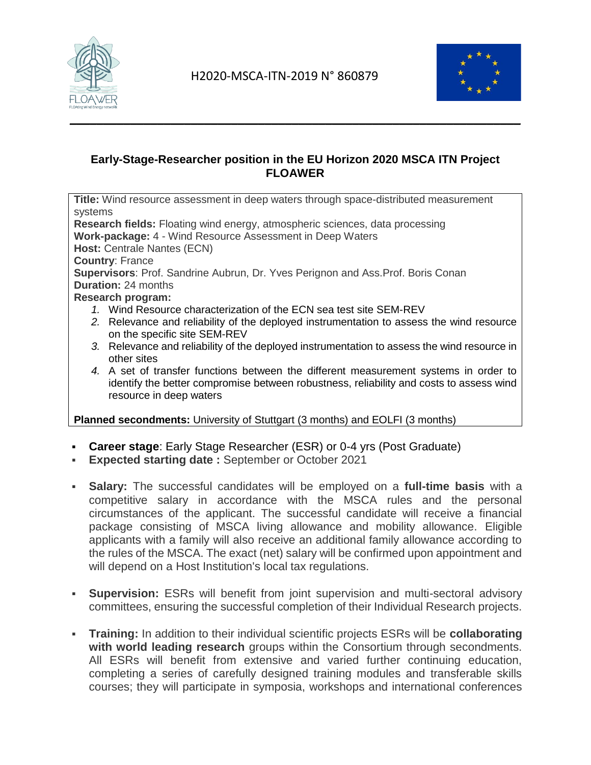



## **Early-Stage-Researcher position in the EU Horizon 2020 MSCA ITN Project FLOAWER**

**Title:** Wind resource assessment in deep waters through space-distributed measurement systems **Research fields:** Floating wind energy, atmospheric sciences, data processing **Work-package:** 4 - Wind Resource Assessment in Deep Waters **Host:** Centrale Nantes (ECN) **Country**: France **Supervisors**: Prof. Sandrine Aubrun, Dr. Yves Perignon and Ass.Prof. Boris Conan **Duration:** 24 months **Research program:** *1.* Wind Resource characterization of the ECN sea test site SEM-REV *2.* Relevance and reliability of the deployed instrumentation to assess the wind resource on the specific site SEM-REV *3.* Relevance and reliability of the deployed instrumentation to assess the wind resource in

- other sites
- *4.* A set of transfer functions between the different measurement systems in order to identify the better compromise between robustness, reliability and costs to assess wind resource in deep waters

**Planned secondments:** University of Stuttgart (3 months) and EOLFI (3 months)

- **Career stage**: Early Stage Researcher (ESR) or 0-4 yrs (Post Graduate)
- **Expected starting date :** September or October 2021
- **Salary:** The successful candidates will be employed on a **full-time basis** with a competitive salary in accordance with the MSCA rules and the personal circumstances of the applicant. The successful candidate will receive a financial package consisting of MSCA living allowance and mobility allowance. Eligible applicants with a family will also receive an additional family allowance according to the rules of the MSCA. The exact (net) salary will be confirmed upon appointment and will depend on a Host Institution's local tax regulations.
- **Supervision:** ESRs will benefit from joint supervision and multi-sectoral advisory committees, ensuring the successful completion of their Individual Research projects.
- **Training:** In addition to their individual scientific projects ESRs will be **collaborating with world leading research** groups within the Consortium through secondments. All ESRs will benefit from extensive and varied further continuing education, completing a series of carefully designed training modules and transferable skills courses; they will participate in symposia, workshops and international conferences